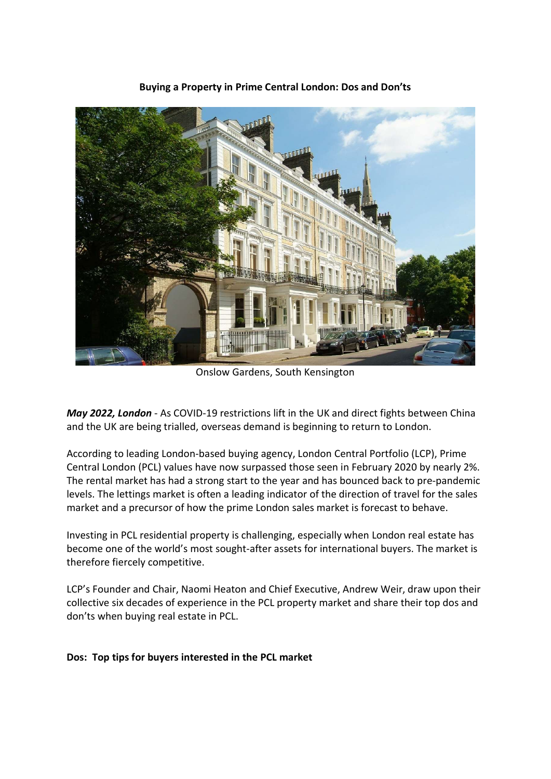

Buying a Property in Prime Central London: Dos and Don'ts

Onslow Gardens, South Kensington

May 2022, London - As COVID-19 restrictions lift in the UK and direct fights between China and the UK are being trialled, overseas demand is beginning to return to London.

According to leading London-based buying agency, London Central Portfolio (LCP), Prime Central London (PCL) values have now surpassed those seen in February 2020 by nearly 2%. The rental market has had a strong start to the year and has bounced back to pre-pandemic levels. The lettings market is often a leading indicator of the direction of travel for the sales market and a precursor of how the prime London sales market is forecast to behave.

Investing in PCL residential property is challenging, especially when London real estate has become one of the world's most sought-after assets for international buyers. The market is therefore fiercely competitive.

LCP's Founder and Chair, Naomi Heaton and Chief Executive, Andrew Weir, draw upon their collective six decades of experience in the PCL property market and share their top dos and don'ts when buying real estate in PCL.

# Dos: Top tips for buyers interested in the PCL market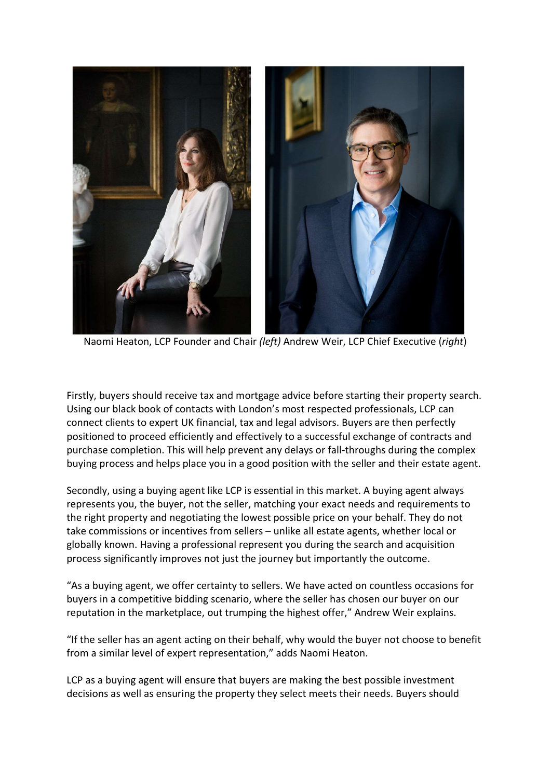

Naomi Heaton, LCP Founder and Chair (left) Andrew Weir, LCP Chief Executive (right)

Firstly, buyers should receive tax and mortgage advice before starting their property search. Using our black book of contacts with London's most respected professionals, LCP can connect clients to expert UK financial, tax and legal advisors. Buyers are then perfectly positioned to proceed efficiently and effectively to a successful exchange of contracts and purchase completion. This will help prevent any delays or fall-throughs during the complex buying process and helps place you in a good position with the seller and their estate agent.

Secondly, using a buying agent like LCP is essential in this market. A buying agent always represents you, the buyer, not the seller, matching your exact needs and requirements to the right property and negotiating the lowest possible price on your behalf. They do not take commissions or incentives from sellers – unlike all estate agents, whether local or globally known. Having a professional represent you during the search and acquisition process significantly improves not just the journey but importantly the outcome.

"As a buying agent, we offer certainty to sellers. We have acted on countless occasions for buyers in a competitive bidding scenario, where the seller has chosen our buyer on our reputation in the marketplace, out trumping the highest offer," Andrew Weir explains.

"If the seller has an agent acting on their behalf, why would the buyer not choose to benefit from a similar level of expert representation," adds Naomi Heaton.

LCP as a buying agent will ensure that buyers are making the best possible investment decisions as well as ensuring the property they select meets their needs. Buyers should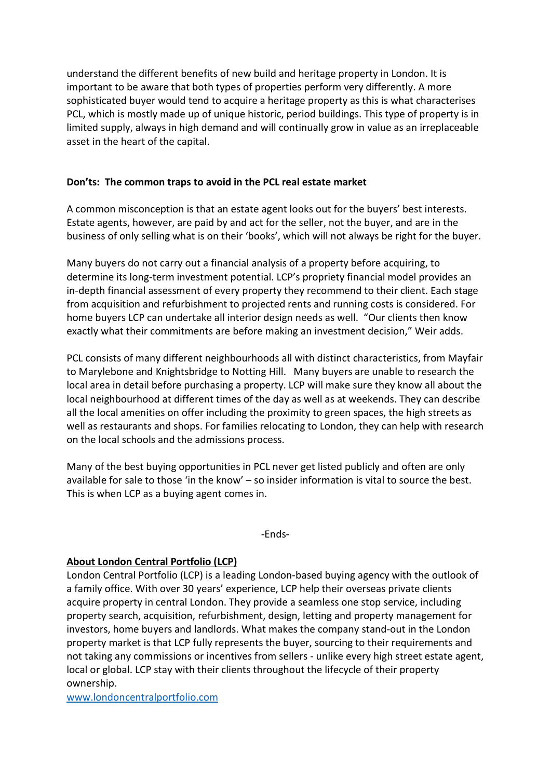understand the different benefits of new build and heritage property in London. It is important to be aware that both types of properties perform very differently. A more sophisticated buyer would tend to acquire a heritage property as this is what characterises PCL, which is mostly made up of unique historic, period buildings. This type of property is in limited supply, always in high demand and will continually grow in value as an irreplaceable asset in the heart of the capital.

## Don'ts: The common traps to avoid in the PCL real estate market

A common misconception is that an estate agent looks out for the buyers' best interests. Estate agents, however, are paid by and act for the seller, not the buyer, and are in the business of only selling what is on their 'books', which will not always be right for the buyer.

Many buyers do not carry out a financial analysis of a property before acquiring, to determine its long-term investment potential. LCP's propriety financial model provides an in-depth financial assessment of every property they recommend to their client. Each stage from acquisition and refurbishment to projected rents and running costs is considered. For home buyers LCP can undertake all interior design needs as well. "Our clients then know exactly what their commitments are before making an investment decision," Weir adds.

PCL consists of many different neighbourhoods all with distinct characteristics, from Mayfair to Marylebone and Knightsbridge to Notting Hill. Many buyers are unable to research the local area in detail before purchasing a property. LCP will make sure they know all about the local neighbourhood at different times of the day as well as at weekends. They can describe all the local amenities on offer including the proximity to green spaces, the high streets as well as restaurants and shops. For families relocating to London, they can help with research on the local schools and the admissions process.

Many of the best buying opportunities in PCL never get listed publicly and often are only available for sale to those 'in the know' – so insider information is vital to source the best. This is when LCP as a buying agent comes in.

-Ends-

## About London Central Portfolio (LCP)

London Central Portfolio (LCP) is a leading London-based buying agency with the outlook of a family office. With over 30 years' experience, LCP help their overseas private clients acquire property in central London. They provide a seamless one stop service, including property search, acquisition, refurbishment, design, letting and property management for investors, home buyers and landlords. What makes the company stand-out in the London property market is that LCP fully represents the buyer, sourcing to their requirements and not taking any commissions or incentives from sellers - unlike every high street estate agent, local or global. LCP stay with their clients throughout the lifecycle of their property ownership.

www.londoncentralportfolio.com